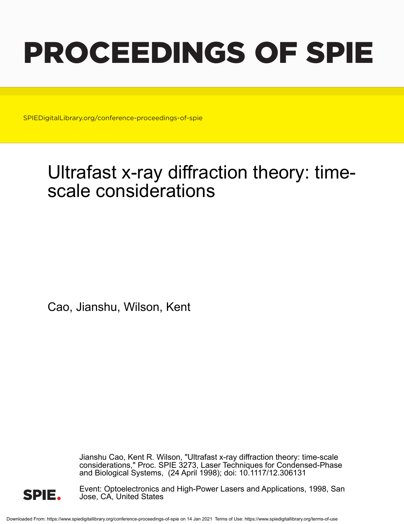# PROCEEDINGS OF SPIE

SPIEDigitalLibrary.org/conference-proceedings-of-spie

## Ultrafast x-ray diffraction theory: timescale considerations

Cao, Jianshu, Wilson, Kent

Jianshu Cao, Kent R. Wilson, "Ultrafast x-ray diffraction theory: time-scale considerations," Proc. SPIE 3273, Laser Techniques for Condensed-Phase and Biological Systems, (24 April 1998); doi: 10.1117/12.306131



Event: Optoelectronics and High-Power Lasers and Applications, 1998, San Jose, CA, United States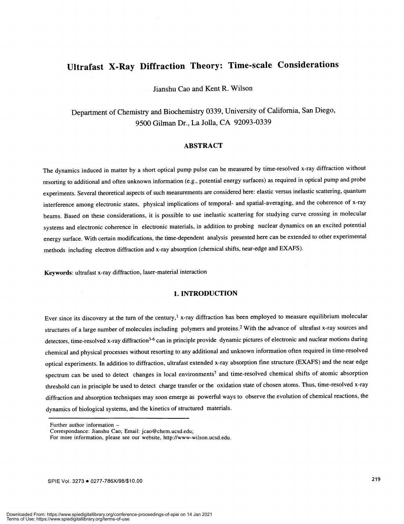### Ultrafast X-Ray Diffraction Theory: Time-scale Considerations

Jianshu Cao and Kent R. Wilson

Department of Chemistry and Biochemistry 0339, University of California, San Diego, 9500 Gilman Dr., La Jolla, CA 92093-0339

#### ABSTRACT

The dynamics induced in matter by a short optical pump pulse can be measured by time-resolved x-ray diffraction without resorting to additional and often unknown information (e.g. , potential energy surfaces) as required in optical pump and probe experiments. Several theoretical aspects of such measurements are considered here: elastic versus inelastic scattering, quantum interference among electronic states, physical implications of temporal- and spatial-averaging, and the coherence of x-ray beams. Based on these considerations, it is possible to use inelastic scattering for studying curve crossing in molecular systems and electronic coherence in electronic materials, in addition to probing nuclear dynamics on anexcited potential energy surface. With certain modifications, the time-dependent analysis presented here canbe extended to other experimental methods including electron diffraction and x-ray absorption (chemical shifts, near-edge and EXAFS).

Keywords: ultrafast x-ray diffraction, laser-material interaction

#### 1. INTRODUCTION

Ever since its discovery at the turn of the century,<sup>1</sup> x-ray diffraction has been employed to measure equilibrium molecular structures of a large number of molecules including polymers and proteins.2 With the advance of ultrafast x-ray sources and detectors, time-resolved x-ray diffraction<sup>3-6</sup> can in principle provide dynamic pictures of electronic and nuclear motions during chemical and physical processes without resorting to any additional and unknown information often required in time-resolved optical experiments. In addition to diffraction, ultrafast extended x-ray absorption fine structure (EXAFS) and the near edge spectrum can be used to detect changes in local environments<sup>7</sup> and time-resolved chemical shifts of atomic absorption threshold can in principle be used to detect charge transfer or the oxidation state of chosen atoms. Thus, time-resolved x-ray diffraction and absorption techniques may soon emerge as powerful ways to observe the evolution of chemical reactions, the dynamics of biological systems, and the kinetics of structured materials.

SPEVol. 3273 • 0277-786X/98/\$1O.OO <sup>219</sup>

Further author information —

Correspondance: Jianshu Cao; Email: jcao @chem.ucsd.edu;

For more information, please see our website, http://www-wilson.ucsd.edu.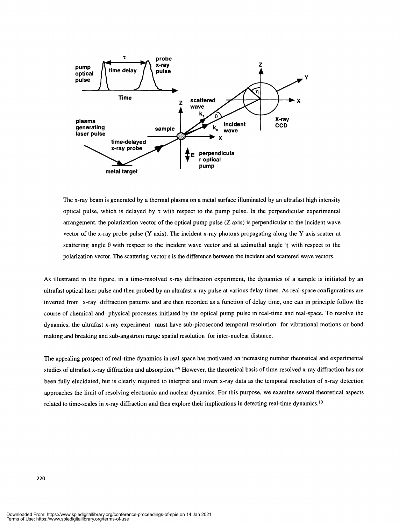

The x-ray beam is generated by a thermal plasma on a metal surface illuminated by an ultrafast high intensity optical pulse, which is delayed by  $\tau$  with respect to the pump pulse. In the perpendicular experimental arrangement, the polarization vector of the optical pump pulse (Z axis) is perpendicular to the incident wave vector of the x-ray probe pulse (Y axis). The incident x-ray photons propagating along the Y axis scatter at scattering angle  $\theta$  with respect to the incident wave vector and at azimuthal angle  $\eta$  with respect to the polarization vector. The scattering vector s is the difference between the incident and scattered wave vectors.

As illustrated in the figure, in a time-resolved x-ray diffraction experiment, the dynamics of a sample is initiated by an ultrafast optical laser pulse and then probed by an ultrafast x-ray pulse at various delay times. As real-space configurations are inverted from x-ray diffraction patterns and are then recorded as a function of delay time, one can in principle follow the course of chemical and physical processes initiated by the optical pump pulse in real-time and real-space. To resolve the dynamics, the ultrafast x-ray experiment must have sub-picosecond temporal resolution for vibrational motions or bond making and breaking and sub-angstrom range spatial resolution for inter-nuclear distance.

The appealing prospect of real-time dynamics in real-space has motivated an increasing number theoretical and experimental studies of ultrafast x-ray diffraction and absorption.<sup>3-9</sup> However, the theoretical basis of time-resolved x-ray diffraction has not been fully elucidated, but is clearly required to interpret and invert x-ray data as the temporal resolution of x-ray detection approaches the limit of resolving electronic and nuclear dynamics. For this purpose, we examine several theoretical aspects related to time-scales in x-ray diffraction and then explore their implications in detecting real-time dynamics.<sup>10</sup>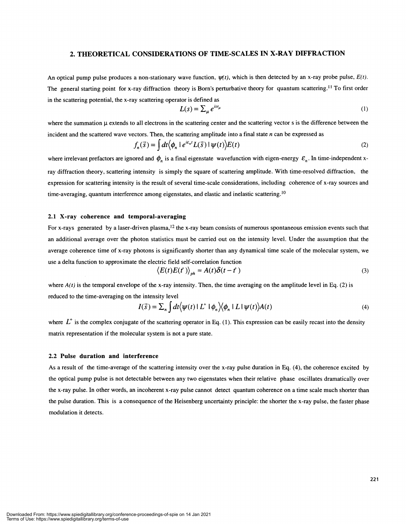#### 2. THEORETICAL CONSIDERATIONS OF TIME-SCALES IN X-RAY DIFFRACTION

An optical pump pulse produces a non-stationary wave function,  $\psi(t)$ , which is then detected by an x-ray probe pulse,  $E(t)$ . The general starting point for x-ray diffraction theory is Born's perturbative theory for quantum scattering.<sup>11</sup> To first order in the scattering potential, the x-ray scattering operator is defined as

$$
L(s) = \sum_{\mu} e^{isr_{\mu}} \tag{1}
$$

where the summation  $\mu$  extends to all electrons in the scattering center and the scattering vector s is the difference between the incident and the scattered wave vectors. Then, the scattering amplitude into a final state  $n$  can be expressed as

$$
f_n(\vec{s}) = \int dt \langle \phi_n \mid e^{i\varepsilon_n t} L(\vec{s}) \mid \psi(t) \rangle E(t)
$$
 (2)

where irrelevant prefactors are ignored and  $\phi_n$  is a final eigenstate wavefunction with eigen-energy  $\mathcal{E}_n$ . In time-independent xray diffraction theory, scattering intensity is simply the square of scattering amplitude. With time-resolved diffraction, the expression for scattering intensity is the result of several time-scale considerations, including coherence of x-ray sources and time-averaging, quantum interference among eigenstates, and elastic and inelastic scattering.<sup>10</sup>

#### 2.1 X-ray coherence and temporal-averaging

For x-rays generated by a laser-driven plasma,<sup>12</sup> the x-ray beam consists of numerous spontaneous emission events such that an additional average over the photon statistics must be carried out on the intensity level. Under the assumption that the average coherence time of x-ray photons is significantly shorter than any dynamical time scale of the molecular system, we use a delta function to approximate the electric field self-correlation function  $\langle E(t)E(t')\rangle_{ph} \approx A(t)\delta(t-t')$  (3)

where 
$$
A(t)
$$
 is the temporal envelope of the x-ray intensity. Then, the time averaging on the amplitude level in Eq. (2) is

reduced to the time-averaging on the intensity level  
\n
$$
I(\vec{s}) = \sum_{n} \int dt \langle \psi(t) | L^+ | \phi_n \rangle \langle \phi_n | L | \psi(t) \rangle A(t)
$$
\n(4)

where  $L^{\dagger}$  is the complex conjugate of the scattering operator in Eq. (1). This expression can be easily recast into the density matrix representation if the molecular system is not a pure state.

#### 2.2 Pulse duration and interference

As a result of the time-average of the scattering intensity over the x-ray pulse duration in Eq. (4), the coherence excited by the optical pump pulse is not detectable between any two eigenstates when their relative phase oscillates dramatically over the x-ray pulse. In other words, an incoherent x-ray pulse cannot detect quantum coherence on a time scale much shorter than the pulse duration. This is a consequence of the Heisenberg uncertainty principle: the shorter the x-ray pulse, the faster phase modulation it detects.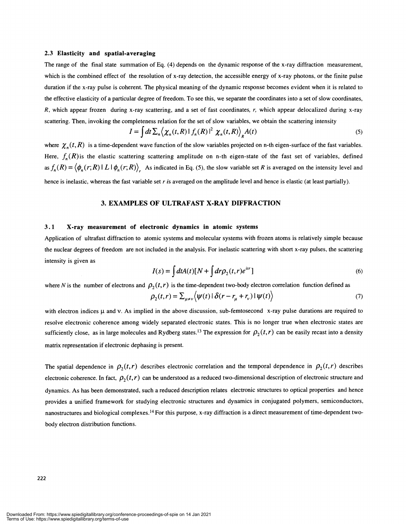#### 2.3 Elasticity and spatial-averaging

The range of the final state summation of Eq. (4) depends on the dynamic response of the x-ray diffraction measurement, which is the combined effect of the resolution of x-ray detection, the accessible energy of x-ray photons, or the finite pulse duration if the x-ray pulse is coherent. The physical meaning of the dynamic response becomes evident when it is related to the effective elasticity of a particular degree of freedom. To see this, we separate the coordinates into a set of slow coordinates, R, which appear frozen during x-ray scattering, and a set of fast coordinates, r, which appear delocalized during x-ray scattering. Then, invoking the completeness relation for the set of slow variables, we obtain the scattering intensity

$$
I = \int dt \sum_{n} \langle \chi_n(t, R) | f_n(R) |^2 \chi_n(t, R) \rangle_R A(t)
$$
\n(5)

where  $\chi_n(t, R)$  is a time-dependent wave function of the slow variables projected on n-th eigen-surface of the fast variables. Here,  $f_n(R)$  is the elastic scattering scattering amplitude on n-th eigen-state of the fast set of variables, defined as  $f_n(R) = \langle \phi_n(r;R) | L | \phi_n(r;R) \rangle_r$ . As indicated in Eq. (5), the slow variable set R is averaged on the intensity level and hence is inelastic, whereas the fast variable set r is averaged on the amplitude level and hence is elastic (at least partially).

#### 3. EXAMPLES OF ULTRAFAST X-RAY DIFFRACTION

#### 3 . 1 X-ray measurement of electronic dynamics in atomic systems

Application of ultrafast diffraction to atomic systems and molecular systems with frozen atoms is relatively simple because the nuclear degrees of freedom are not included in the analysis. For inelastic scattering with short x-ray pulses, the scattering intensity is given as

$$
I(s) = \int dt A(t) [N + \int dr \rho_2(t, r) e^{isr}]
$$
\n(6)

where N is the number of electrons and  $\rho_2(t, r)$  is the time-dependent two-body electron correlation function defined as

$$
\rho_2(t,r) = \sum_{\mu \neq v} \left\langle \psi(t) | \delta(r - r_{\mu} + r_v) | \psi(t) \right\rangle \tag{7}
$$

with electron indices  $\mu$  and v. As implied in the above discussion, sub-femtosecond x-ray pulse durations are required to resolve electronic coherence among widely separated electronic states. This is no longer true when electronic states are sufficiently close, as in large molecules and Rydberg states.<sup>13</sup> The expression for  $\rho_2(t,r)$  can be easily recast into a density matrix representation if electronic dephasing is present.

The spatial dependence in  $\rho_2(t,r)$  describes electronic correlation and the temporal dependence in  $\rho_2(t,r)$  describes electronic coherence. In fact,  $\rho_2(t, r)$  can be understood as a reduced two-dimensional description of electronic structure and dynamics. As has been demonstrated, such a reduced description relates electronic structures to optical properties and hence provides a unified framework for studying electronic structures and dynamics in conjugated polymers, semiconductors, nanostructures and biological complexes.'4 For this purpose, x-ray diffraction is a direct measurement of time-dependent twobody electron distribution functions.

222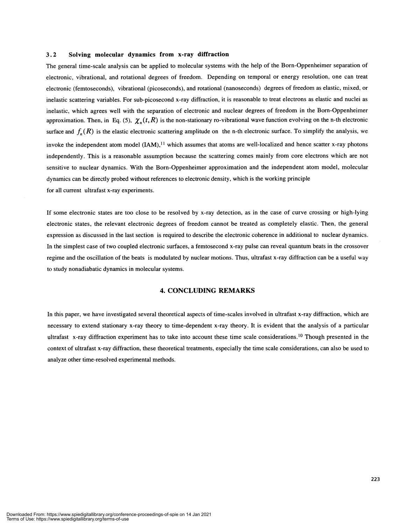#### 3 .<sup>2</sup> Solving molecular dynamics from x-ray diffraction

The general time-scale analysis can be applied to molecular systems with the help of the Born-Oppenheimer separation of electronic, vibrational, and rotational degrees of freedom. Depending on temporal or energy resolution, one can treat electronic (femtoseconds), vibrational (picoseconds), and rotational (nanoseconds) degrees of freedom as elastic, mixed, or inelastic scattering variables. For sub-picosecond x-ray diffraction, it is reasonable to treat electrons as elastic and nuclei as inelastic, which agrees well with the separation of electronic and nuclear degrees of freedom in the Born-Oppenheimer approximation. Then, in Eq. (5),  $\chi_n(t, R)$  is the non-stationary ro-vibrational wave function evolving on the n-th electronic surface and  $f_n(R)$  is the elastic electronic scattering amplitude on the n-th electronic surface. To simplify the analysis, we invoke the independent atom model  $(IAM)^{11}$  which assumes that atoms are well-localized and hence scatter x-ray photons independently. This is a reasonable assumption because the scattering comes mainly from core electrons which are not sensitive to nuclear dynamics. With the Born-Oppenheimer approximation and the independent atom model, molecular dynamics can be directly probed without references to electronic density, which is the working principle for all current ultrafast x-ray experiments.

If some electronic states are too close to be resolved by x-ray detection, as in the case of curve crossing or high-lying electronic states, the relevant electronic degrees of freedom cannot be treated as completely elastic. Then, the general expression as discussed in the last section is required to describe the electronic coherence in additional to nuclear dynamics. In the simplest case of two coupled electronic surfaces, a femtosecond x-ray pulse can reveal quantum beats in the crossover regime and the oscillation of the beats is modulated by nuclear motions. Thus, ultrafast x-ray diffraction can be a useful way to study nonadiabatic dynamics in molecular systems.

#### 4. CONCLUDING REMARKS

In this paper, we have investigated several theoretical aspects of time-scales involved in ultrafast x-ray diffraction, which are necessary to extend stationary x-ray theory to time-dependent x-ray theory. It is evident that the analysis of a particular ultrafast x-ray diffraction experiment has to take into account these time scale considerations.<sup>10</sup> Though presented in the context of ultrafast x-ray diffraction, these theoretical treatments, especially the time scale considerations, can also be used to analyze other time-resolved experimental methods.